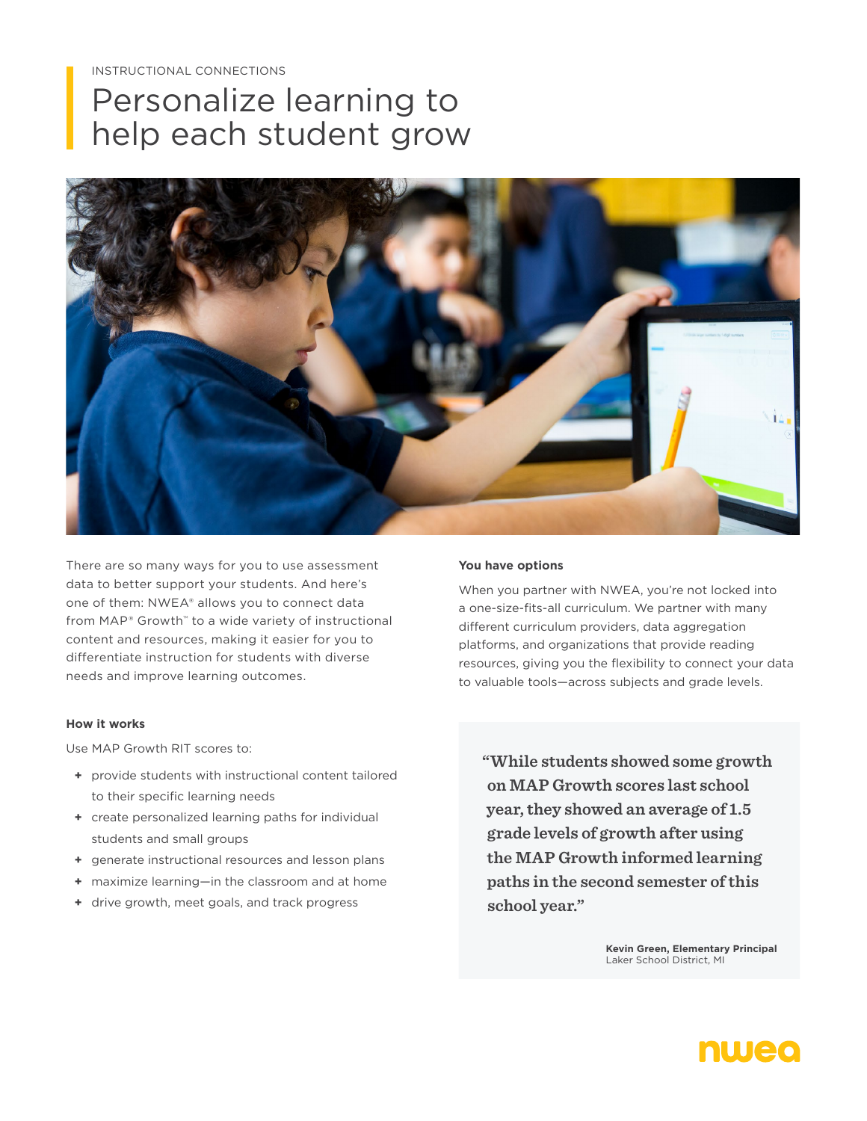# Personalize learning to help each student grow



There are so many ways for you to use assessment data to better support your students. And here's one of them: NWEA® allows you to connect data from MAP® Growth™ to a wide variety of instructional content and resources, making it easier for you to differentiate instruction for students with diverse needs and improve learning outcomes.

#### **How it works**

Use MAP Growth RIT scores to:

- **+** provide students with instructional content tailored to their specific learning needs
- **+** create personalized learning paths for individual students and small groups
- **+** generate instructional resources and lesson plans
- **+** maximize learning—in the classroom and at home
- **+** drive growth, meet goals, and track progress

#### **You have options**

When you partner with NWEA, you're not locked into a one-size-fits-all curriculum. We partner with many different curriculum providers, data aggregation platforms, and organizations that provide reading resources, giving you the flexibility to connect your data to valuable tools—across subjects and grade levels.

**"While students showed some growth on MAP Growth scores last school year, they showed an average of 1.5 grade levels of growth after using the MAP Growth informed learning paths in the second semester of this school year."** 

> **Kevin Green, Elementary Principal** Laker School District, MI

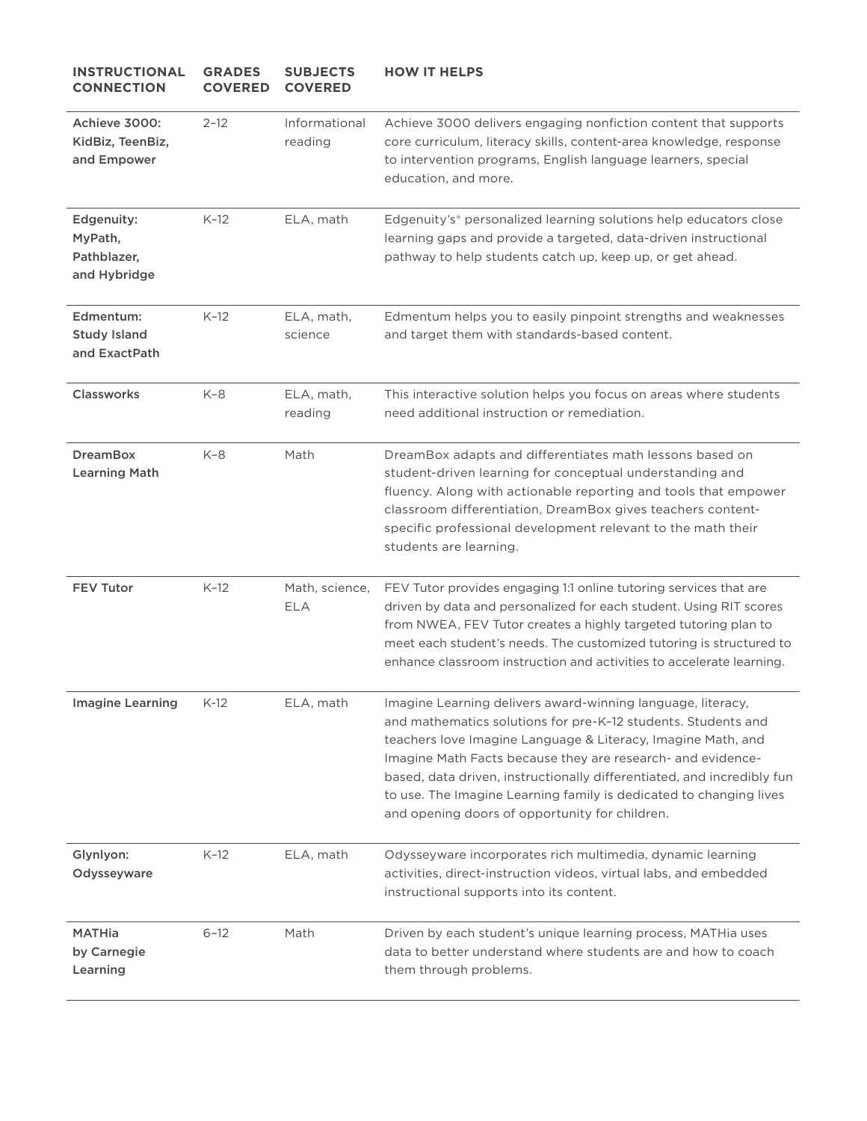| <b>INSTRUCTIONAL</b><br><b>CONNECTION</b>            | <b>GRADES</b><br><b>COVERED</b> | <b>SUBJECTS</b><br><b>COVERED</b> | <b>HOW IT HELPS</b>                                                                                                                                                                                                                                                                                                                                                                                                                                           |
|------------------------------------------------------|---------------------------------|-----------------------------------|---------------------------------------------------------------------------------------------------------------------------------------------------------------------------------------------------------------------------------------------------------------------------------------------------------------------------------------------------------------------------------------------------------------------------------------------------------------|
| Achieve 3000:<br>KidBiz, TeenBiz,<br>and Empower     | $2 - 12$                        | Informational<br>reading          | Achieve 3000 delivers engaging nonfiction content that supports<br>core curriculum, literacy skills, content-area knowledge, response<br>to intervention programs, English language learners, special<br>education, and more.                                                                                                                                                                                                                                 |
| Edgenuity:<br>MyPath,<br>Pathblazer,<br>and Hybridge | $K-12$                          | ELA, math                         | Edgenuity's® personalized learning solutions help educators close<br>learning gaps and provide a targeted, data-driven instructional<br>pathway to help students catch up, keep up, or get ahead.                                                                                                                                                                                                                                                             |
| Edmentum:<br><b>Study Island</b><br>and ExactPath    | $K-12$                          | ELA, math,<br>science             | Edmentum helps you to easily pinpoint strengths and weaknesses<br>and target them with standards-based content.                                                                                                                                                                                                                                                                                                                                               |
| Classworks                                           | K-8                             | ELA, math,<br>reading             | This interactive solution helps you focus on areas where students<br>need additional instruction or remediation.                                                                                                                                                                                                                                                                                                                                              |
| <b>DreamBox</b><br><b>Learning Math</b>              | $K-8$                           | Math                              | DreamBox adapts and differentiates math lessons based on<br>student-driven learning for conceptual understanding and<br>fluency. Along with actionable reporting and tools that empower<br>classroom differentiation, DreamBox gives teachers content-<br>specific professional development relevant to the math their<br>students are learning.                                                                                                              |
| <b>FEV Tutor</b>                                     | $K-12$                          | Math, science,<br><b>ELA</b>      | FEV Tutor provides engaging 1:1 online tutoring services that are<br>driven by data and personalized for each student. Using RIT scores<br>from NWEA, FEV Tutor creates a highly targeted tutoring plan to<br>meet each student's needs. The customized tutoring is structured to<br>enhance classroom instruction and activities to accelerate learning.                                                                                                     |
| <b>Imagine Learning</b>                              | $K-12$                          | ELA, math                         | Imagine Learning delivers award-winning language, literacy,<br>and mathematics solutions for pre-K-12 students. Students and<br>teachers love Imagine Language & Literacy, Imagine Math, and<br>Imagine Math Facts because they are research- and evidence-<br>based, data driven, instructionally differentiated, and incredibly fun<br>to use. The Imagine Learning family is dedicated to changing lives<br>and opening doors of opportunity for children. |
| Glynlyon:<br>Odysseyware                             | $K-12$                          | ELA, math                         | Odysseyware incorporates rich multimedia, dynamic learning<br>activities, direct-instruction videos, virtual labs, and embedded<br>instructional supports into its content.                                                                                                                                                                                                                                                                                   |
| <b>MATHia</b><br>by Carnegie<br>Learning             | $6 - 12$                        | Math                              | Driven by each student's unique learning process, MATHia uses<br>data to better understand where students are and how to coach<br>them through problems.                                                                                                                                                                                                                                                                                                      |